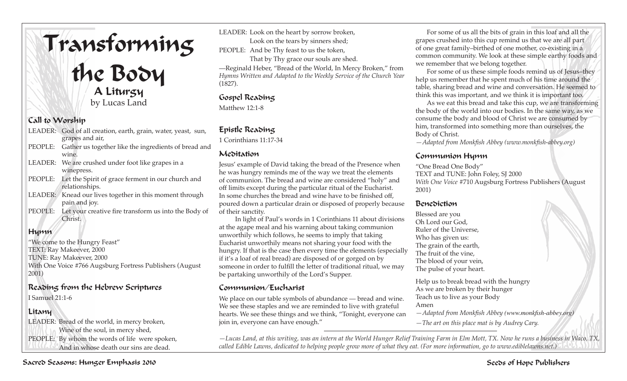# Transforming the Body

A Liturgy by Lucas Land

## Call to Worship

|         | LEADER: God of all creation, earth, grain, water, yeast, sun, |
|---------|---------------------------------------------------------------|
|         | grapes and air,                                               |
|         | PEOPLE: Gather us together like the ingredients of bread and  |
|         | wine.                                                         |
|         | LEADER: We are crushed under foot like grapes in a            |
|         | winepress.                                                    |
|         | PEOPLE: Let the Spirit of grace ferment in our church and     |
|         | relationships.                                                |
| LEADER: | Knead our lives together in this moment through               |
|         | pain and joy.                                                 |

PEOPLE: Let your creative fire transform us into the Body of Christ.

# Hymn

"We come to the Hungry Feast" TEXT: Ray Makeever, 2000 TUNE: Ray Makeever, 2000 With One Voice #766 Augsburg Fortress Publishers (August 2001)

## Reading from the Hebrew Scriptures

I Samuel 21:1-6

# Litany

LEADER: Bread of the world, in mercy broken, Wine of the soul, in mercy shed, PEOPLE: By whom the words of life were spoken, And in whose death our sins are dead.

LEADER: Look on the heart by sorrow broken,

Look on the tears by sinners shed;

PEOPLE: And be Thy feast to us the token,

That by Thy grace our souls are shed.

—Reginald Heber, "Bread of the World, In Mercy Broken," from *Hymns Written and Adapted to the Weekly Service of the Church Year*  (1827).

## Gospel Reading

Matthew 12:1-8

# Epistle Reading

1 Corinthians 11:17-34

## Meditation

Jesus' example of David taking the bread of the Presence when he was hungry reminds me of the way we treat the elements of communion. The bread and wine are considered "holy" and off limits except during the particular ritual of the Eucharist. In some churches the bread and wine have to be finished off, poured down a particular drain or disposed of properly because of their sanctity.

 In light of Paul's words in 1 Corinthians 11 about divisions at the agape meal and his warning about taking communion unworthily which follows, he seems to imply that taking Eucharist unworthily means not sharing your food with the hungry. If that is the case then every time the elements (especially if it's a loaf of real bread) are disposed of or gorged on by someone in order to fulfill the letter of traditional ritual, we may be partaking unworthily of the Lord's Supper.

# Communion/Eucharist

We place on our table symbols of abundance — bread and wine. We see these staples and we are reminded to live with grateful hearts. We see these things and we think, "Tonight, everyone can join in, everyone can have enough."

For some of us all the bits of grain in this loaf and all the grapes crushed into this cup remind us that we are all part of one great family–birthed of one mother, co-existing in a common community. We look at these simple earthy foods and we remember that we belong together.

For some of us these simple foods remind us of Jesus–they help us remember that he spent much of his time around the table, sharing bread and wine and conversation. He seemed to think this was important, and we think it is important too.

As we eat this bread and take this cup, we are transforming the body of the world into our bodies. In the same way, as we consume the body and blood of Christ we are consumed by him, transformed into something more than ourselves, the Body of Christ.

*—Adapted from Monkfish Abbey (www.monkfish-abbey.org)*

## Communion Hymn

"One Bread One Body" TEXT and TUNE: John Foley, SJ 2000 *With One Voice* #710 Augsburg Fortress Publishers (August 2001)

#### Benediction

Blessed are you Oh Lord our God, Ruler of the Universe, Who has given us: The grain of the earth, The fruit of the vine, The blood of your vein, The pulse of your heart.

Help us to break bread with the hungry As we are broken by their hunger Teach us to live as your Body Amen *—Adapted from Monkfish Abbey (www.monkfish-abbey.org)*

*—The art on this place mat is by Audrey Cary.*

*—Lucas Land, at this writing, was an intern at the World Hunger Relief Training Farm in Elm Mott, TX. Now he runs a business in Waco, TX, called Edible Lawns, dedicated to helping people grow more of what they eat. (For more information, go to www.ediblelawns.net.)*